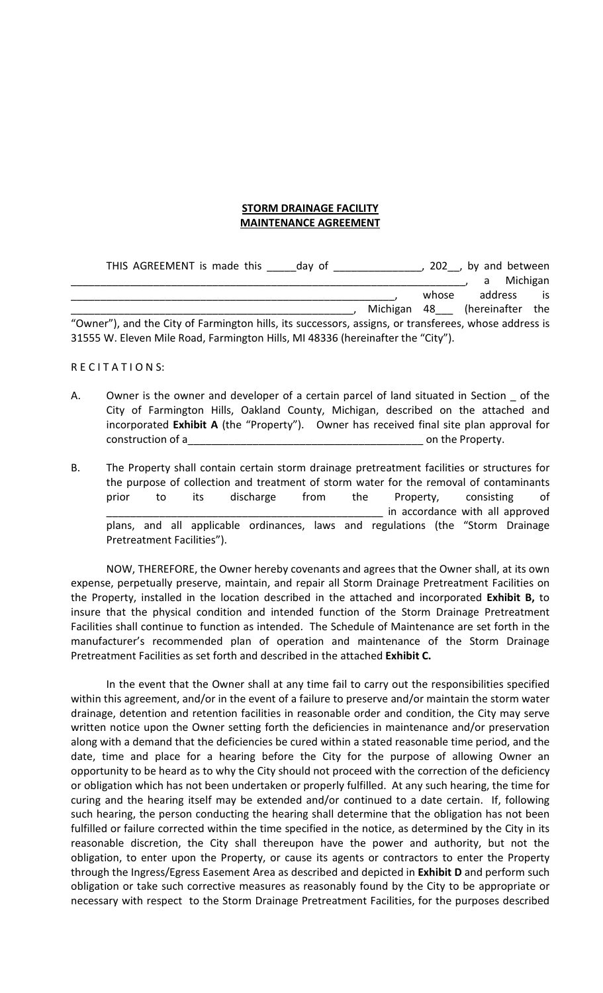## **STORM DRAINAGE FACILITY MAINTENANCE AGREEMENT**

| THIS AGREEMENT is made this                                                                           | day of |       | 202, by and between      |          |
|-------------------------------------------------------------------------------------------------------|--------|-------|--------------------------|----------|
|                                                                                                       |        |       | a                        | Michigan |
|                                                                                                       |        | whose | address                  | -is      |
|                                                                                                       |        |       | Michigan 48 (hereinafter | the      |
| "Owner"), and the City of Farmington hills, its successors, assigns, or transferees, whose address is |        |       |                          |          |
| 31555 W. Eleven Mile Road, Farmington Hills, MI 48336 (hereinafter the "City").                       |        |       |                          |          |

## RECITATIONS:

- A. Owner is the owner and developer of a certain parcel of land situated in Section \_ of the City of Farmington Hills, Oakland County, Michigan, described on the attached and incorporated **Exhibit A** (the "Property"). Owner has received final site plan approval for construction of a\_\_\_\_\_\_\_\_\_\_\_\_\_\_\_\_\_\_\_\_\_\_\_\_\_\_\_\_\_\_\_\_\_\_\_\_\_\_\_\_ on the Property.
- B. The Property shall contain certain storm drainage pretreatment facilities or structures for the purpose of collection and treatment of storm water for the removal of contaminants prior to its discharge from the Property, consisting of in accordance with all approved plans, and all applicable ordinances, laws and regulations (the "Storm Drainage Pretreatment Facilities").

NOW, THEREFORE, the Owner hereby covenants and agrees that the Owner shall, at its own expense, perpetually preserve, maintain, and repair all Storm Drainage Pretreatment Facilities on the Property, installed in the location described in the attached and incorporated **Exhibit B,** to insure that the physical condition and intended function of the Storm Drainage Pretreatment Facilities shall continue to function as intended. The Schedule of Maintenance are set forth in the manufacturer's recommended plan of operation and maintenance of the Storm Drainage Pretreatment Facilities as set forth and described in the attached **Exhibit C.**

In the event that the Owner shall at any time fail to carry out the responsibilities specified within this agreement, and/or in the event of a failure to preserve and/or maintain the storm water drainage, detention and retention facilities in reasonable order and condition, the City may serve written notice upon the Owner setting forth the deficiencies in maintenance and/or preservation along with a demand that the deficiencies be cured within a stated reasonable time period, and the date, time and place for a hearing before the City for the purpose of allowing Owner an opportunity to be heard as to why the City should not proceed with the correction of the deficiency or obligation which has not been undertaken or properly fulfilled. At any such hearing, the time for curing and the hearing itself may be extended and/or continued to a date certain. If, following such hearing, the person conducting the hearing shall determine that the obligation has not been fulfilled or failure corrected within the time specified in the notice, as determined by the City in its reasonable discretion, the City shall thereupon have the power and authority, but not the obligation, to enter upon the Property, or cause its agents or contractors to enter the Property through the Ingress/Egress Easement Area as described and depicted in **Exhibit D** and perform such obligation or take such corrective measures as reasonably found by the City to be appropriate or necessary with respect to the Storm Drainage Pretreatment Facilities, for the purposes described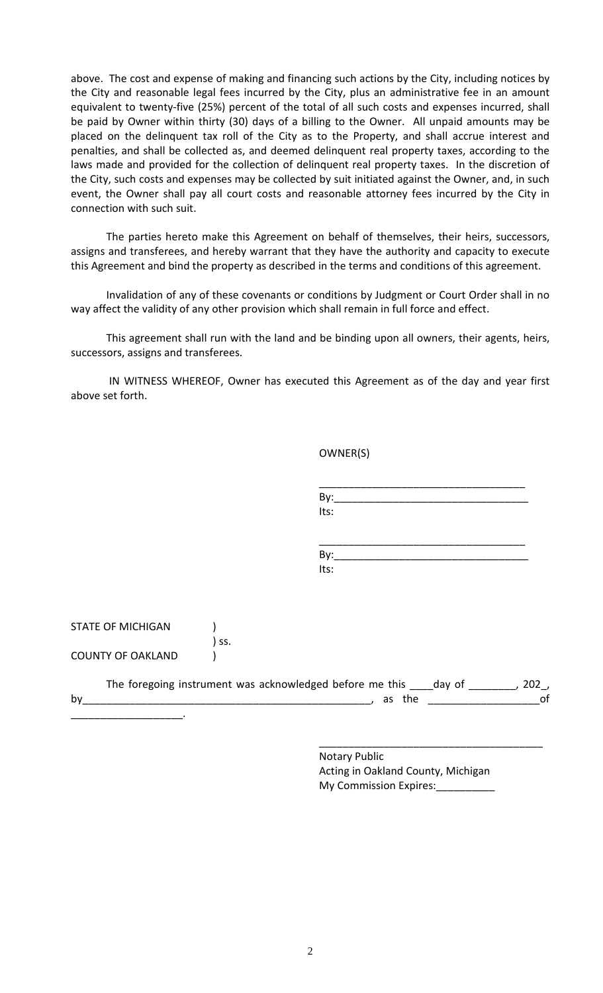above. The cost and expense of making and financing such actions by the City, including notices by the City and reasonable legal fees incurred by the City, plus an administrative fee in an amount equivalent to twenty-five (25%) percent of the total of all such costs and expenses incurred, shall be paid by Owner within thirty (30) days of a billing to the Owner. All unpaid amounts may be placed on the delinquent tax roll of the City as to the Property, and shall accrue interest and penalties, and shall be collected as, and deemed delinquent real property taxes, according to the laws made and provided for the collection of delinquent real property taxes. In the discretion of the City, such costs and expenses may be collected by suit initiated against the Owner, and, in such event, the Owner shall pay all court costs and reasonable attorney fees incurred by the City in connection with such suit.

The parties hereto make this Agreement on behalf of themselves, their heirs, successors, assigns and transferees, and hereby warrant that they have the authority and capacity to execute this Agreement and bind the property as described in the terms and conditions of this agreement.

Invalidation of any of these covenants or conditions by Judgment or Court Order shall in no way affect the validity of any other provision which shall remain in full force and effect.

This agreement shall run with the land and be binding upon all owners, their agents, heirs, successors, assigns and transferees.

IN WITNESS WHEREOF, Owner has executed this Agreement as of the day and year first above set forth.

|                          | OWNER(S)                                                                                     |                                |
|--------------------------|----------------------------------------------------------------------------------------------|--------------------------------|
|                          | Its:                                                                                         |                                |
|                          | Its:                                                                                         |                                |
| <b>STATE OF MICHIGAN</b> | SS.                                                                                          |                                |
| <b>COUNTY OF OAKLAND</b> |                                                                                              |                                |
| $by_$                    | The foregoing instrument was acknowledged before me this ____day of ________, 202,<br>as the | $\overline{\phantom{a}}$<br>of |

Notary Public Acting in Oakland County, Michigan My Commission Expires: \_\_\_\_\_\_\_\_

\_\_\_\_\_\_\_\_\_\_\_\_\_\_\_\_\_\_\_\_\_\_\_\_\_\_\_\_\_\_\_\_\_\_\_\_\_\_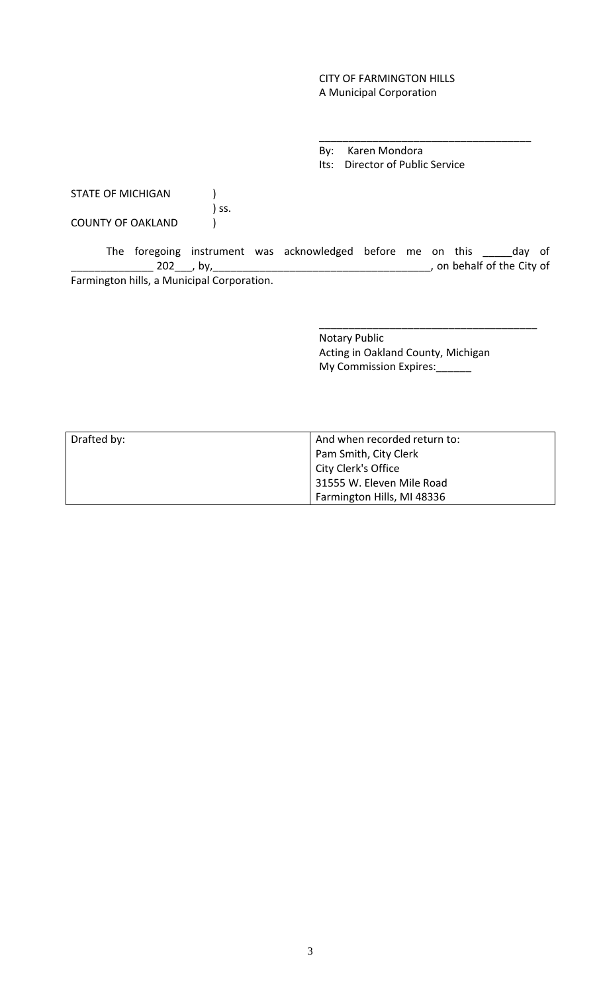## CITY OF FARMINGTON HILLS A Municipal Corporation

By: Karen Mondora Its: Director of Public Service

\_\_\_\_\_\_\_\_\_\_\_\_\_\_\_\_\_\_\_\_\_\_\_\_\_\_\_\_\_\_\_\_\_\_\_\_

STATE OF MICHIGAN (1) ) ss. COUNTY OF OAKLAND (

The foregoing instrument was acknowledged before me on this \_\_\_\_\_day of \_\_\_\_\_\_\_\_\_\_\_\_\_\_ 202\_\_\_, by,\_\_\_\_\_\_\_\_\_\_\_\_\_\_\_\_\_\_\_\_\_\_\_\_\_\_\_\_\_\_\_\_\_\_\_\_\_, on behalf of the City of Farmington hills, a Municipal Corporation.

> Notary Public Acting in Oakland County, Michigan My Commission Expires:

\_\_\_\_\_\_\_\_\_\_\_\_\_\_\_\_\_\_\_\_\_\_\_\_\_\_\_\_\_\_\_\_\_\_\_\_\_

| Drafted by: | And when recorded return to: |  |
|-------------|------------------------------|--|
|             | Pam Smith, City Clerk        |  |
|             | City Clerk's Office          |  |
|             | 31555 W. Eleven Mile Road    |  |
|             | Farmington Hills, MI 48336   |  |